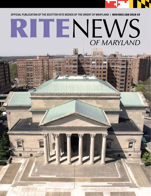

**bray** 

Ш

m

**OFFICIAL PUBLICATION OF THE SCOTTISH RITE BODIES OF THE ORIENT OF MARYLAND |** NOV/DEC/JAN 2018-19

# OFFICIAL PUBLICATION OF THE SCOTTISH RITE BODIES OF THE ORIENT OF MARYLAND | NOV/DEC/JAN 2018-19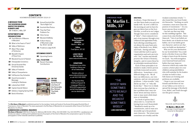EFI INN

**GREETINGS,**

As always, I hope this issue of our Rite News finds you and your family well. By now a chill is in the morning air and we have begun our labors here at the Scottish Rite, as well as in our Lodges. Though I have never considered it "labor", I have enjoyed every part of my journey through every collateral and appendant body. Each offering something new; yet always the same basic principles of Brotherly Love, Relief, and Truth. Having said that, I must add that each is a great organization and each one in its own "rite" teaches and should practice the virtues of honesty, integrity, and of course those basic principles mentioned above. Each of these principles is intended to make a better person and help transcend our petty differences. Sometimes a very difficult thing to do. We all have our differences, our own opinions, and our own personal problems. I often wonder "why did he say that" or "why did he do that." Then I try to think that everyone has a bad day or has a problem that I may not know about and may need to vent or may need a little kindness or friendship. In a book of quotes that I

often refer to, I read the following from Lord Chesterfield: "Mankind is made up of inconsistencies, and no man acts invariably up to his predominant character. The wisest man sometimes acts weakly and the

### **A MESSAGE FROM THE SOVEREIGN GRAND INSPECTOR GENERAL IN MARYLAND**

3 III. Marlin L. Mills, 33º

- 22 Scottish Rite Photos
- 23 They Had Their Problems Too
- 26 Clinic Corner
- 27 Maryland DeMolay
- 28 A Short History of Mountain Lodge No. 99 A.F. & A.M.
- 30 Prudence Lodge #190

### **DEPARTMENTS AND ORGANIZATIONS**

- 4 Grand Master of Masons in Maryland
- **5** What is the Feast of Tishri?
- **6** Valley of Baltimore
- **7** Albert Pike Lodge of Perfection
- 8 Meredith Chapter of Rose Croix
- 9 Maryland Council of Kadosh
- **10** Chesapeake Consistory
- 11 Annual Scottish Rite Christmas Soirée
- 12 Valley of Frederick
- 13 Valley of Susquehanna
- 14 Fall Reunion Day Schedule
- 15 Grand Commander's Message: Looking for Rainbows
- 16 Lobsterfest 2018!
- 18 Captain Azariah Nelson
- 19 Salisbury Capping Spring 2018
- 20 Band of Brothers

The *Rite News of Maryland* is published quarterly for the members, family and friends of the Ancient & Accepted Scottish Rite of Freemasonry, Orient of Maryland. The views expressed in the Rite News of Maryland do not necessarily reflect those of the Orient of Maryland or its officers.

### **SUBMISSIONS & GENERAL INQUIRIES**

*Rite News of Maryland* 3800 North Charles St., Baltimore, MD 21218 | Office: 410-243-3200 | Fax: 410-243-8791 | aasr@verizon.net. Articles are subject to editing and if published, become the property of the Orient of Maryland. No compensation is given for articles, photographs or other materials submitted or published.





### **UPCOMING EVENTS**

**BC** Upcoming Events

### **CALL TO ACTION**

24 Recent Charitable **Contributions** 



### **CONTENTS**

NOVEMBER/DECEMBER/JANUARY 2018–19

**Sovereign Grand Inspector GENERAL** Marlin L. Mills, 33°

**Editor** Fred Spicer, 33°, GC

### **LOOK FOR US ON THE WEB** www.mdscottishrite.org

**DONATIONS**

Donations to our clinic, building or library are all tax deductible.

Donate online at www.mdscottishrite.org or call 410-243-3200

Our Scottish Rite Childhood Speech & Language Clinic is a 501(c)(3) organization and all charitable gifts are tax deductible.

### **COVER:**  Aerial Picture courtesy of the Honorable Bro. Richard Thurfield,



weakest sometimes wisely." I also found this one from Frederick Nietzsche: "Nothing on earth consumes a man more than the passion of resentment." Do you know anyone those would fit?

One last one that may help tie this rambling together. This comes from a late Brother, Henry Hancock: "Out of our beliefs are born deeds; out of deeds we form habits; out of our habits grow our character; and on our character we build our destination."

Why not let your destination be our Scottish Rite? You could invite a Brother from your Blue Lodge to learn from the lessons we teach. You will strengthen your fraternal bond and form habits that may improve character which may make this country a better place for your children and grandchildren who will someday be the leaders of what we hold so dear. Fall classes are forming and petitions are available.

I hope to see you and your friends and Brothers in one of our Valleys as we strive to spread the message of Brotherly Love, Relief, and Truth throughout this great country.



# "THE WISEST MAN **SOMETIMES** ACTS WEAKLY AND THE WEAKEST SOMETIMES WISELY." –LORD CHESTERFIELD

# **A MESSAGE FROM** Ill. Marlin L. Mills, 33º



Sincerely and Fraternally,

Ill. Marlin L. MILLS, 33º *Sovereign Grand Inspector General in Maryland*

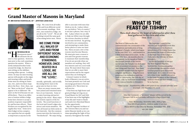"H **OW SHOULD WE AS** Freemasons meet?" We all know the answer to that question. However, men new to the craft sometimes question the answer. When a newly initiated brother looks around the lodge, he observes men sitting on the sidelines wearing white aprons. Looking closer, he may see men wearing aprons with purple on the edges and wearing collars and jewels. Some men are sitting in chairs one, two, and even three steps above the floor. How, then, can we "Meet on the level" when we appear to be so different? We meet on the level because we are all Brothers. There is no difference of station within a lodge. Some have chosen to accept a position of greater responsibility and become officers. These brothers are recognized by the regalia they wear. Some serve their lodges in less conspicuous capacities but are equally as important as anyone in the



# Grand Master of Masons in Maryland

### **BY: MW KOSTAS VOURVOULAS, 33° – JEPHTHAH LODGE #222**



lodge. We come from all walks of life and from different social and economic standings. However, once seated in a lodge, we are all on the "Level". We are all working toward the same goal; of becoming better men. Better

morally, spiritually, and socially. Becoming better men is the great aim we have in view.

There are many reasons men have joined and remained members of our fraternity. Some of us enjoy learning and participating in the ritual. Many enjoy the esoteric aspects of the fraternity. The social functions of the local and Grand Lodges also attract and retain members. We have all found our little niche in the fraternity. But the common reason men join the fraternity is "brotherhood". We enjoy being

able to associate with men that think as we do. A place where we can believe "love of country" is not just a phrase, but a way of life. A place where we are able to help our fellow man through the various charities in which we become involved. By getting involved in our communities, and attempting to make them better places to raise our families. These are just a few of the reasons men become Masons. We must give men a reason to join and even greater reasons to maintain their membership. If we do not provide what our members are seeking, they will lose interest and very soon walk away. We must show these men that we are able to meet their expectations and be the organization they are looking for.

It doesn't matter in which body of Masonry you are active. You must promote our Craft and encourage good men to become members of it. This is how we will survive.

It has been my high honor and great privilege serving you as Grand Master for 2017 and 2018. It has been one of the highlights of my life and I want to thank each and every Maryland Mason for the opportunity.

May the Supreme Architect of the Universe bless you and our entire Masonic family as we continue spreading the Light of Freemasonry throughout the world.

### **WE COME FROM ALL WALKS OF LIFE AND FROM DIFFERENT SOCIAL AND ECONOMIC STANDINGS. HOWEVER, ONCE SEATED IN A LODGE, WE ARE ALL ON THE "LEVEL".**

After the Ceremony, a "sit down" dinner will be served in the Banquet Hall & each attendee will receive a bag of fresh fruit

Date: Wednesday, November 28th, 2018 @ 7pm Cost \$20.00 per person, children under 12 are free Please RSVP to the Office by Monday, November 19th, 2018 410-243-3200

# **WHAT IS THE FEAST OF TISHRI?**

*Thou shalt observe the feast of tabernacles after thou hast gathered in thy corn and wine. Deut. 16:13*

The Feast of Tabernacles also commemorates the ceremonies of the completion and dedication of King Solomon's Temple, which was begun in the year 2992 \*A.L., and finished in a little more than seven years. In the year 3001 \*A.L., six months after its completion, in the month of Tishri, the seventh month of the Jewish sacred year, the Temple was dedicated with reverential ceremonies to the one Living and True God. That these ceremonies would reach the highest religious significance, King Solomon postponed the dedication until the Feast of Tabernacles, the 15th day of Tishri, a day he well knew would bring every zealous Israelite to Jerusalem.

The Supreme Council of the Ancient and Accepted Scottish Rite of Freemasonry of the Southern Jurisdiction of the United States has proclaimed the Feast of Tabernacles as the Feast Day of the Lodge of Perfection, the 15th day of Tishri, (October).

As did the Israelites of old and the New England Pilgrims, Scottish Rite Freemasons gather to acknowledge the mercies which God has poured upon them with lavish hand. It is a time of rejoicing, yet a time to pay humble adoration to the Great Architect of the Universe, without whose aid there would be no harvest.

*\*Anno Lucius – Freemasonry adds 4,000 years to our current calendar year (example: 2011 becomes 6011 A.L.).*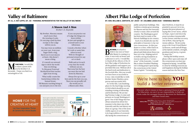$\overline{\mathbf{B}}$ **RETHREN,**It is hard to believe my year as Venerable Master is coming to a close, it was truly an honor and a pleasure to serve. I would like to thank all the officers of the Albert Pike Lodge of Perfection for all the guidance and support you provided this year. Without all of the hard work and dedication to the Scottish Rite, this year would not have been as successful as it was. I also would like to wish Brother Senior Warden a prosperous and successful 2019.

As I write this, I am finalizing plans for the final lodge meeting of 2018 which should be an outstanding evening of fellowship and brotherhood. We are having Potomac Lodge #5 come and present on George Washington's gavel. One of the things that has always amazed me about freemasonry is the sheer size of the fraternity and the vast history we share as a group. One of the most visible aspects of our fraternity is its long tradition of ceremonially laying the cornerstones of

M **Y BRETHREN,** I would like to share a poem with you by Brother C.E. Reynolds. I hope you find it as meaningful as I do.

# Albert Pike Lodge of Perfection

**BY: HON. WILLIAM A. ZARYCHTA, 32°, KCCH – ST. COLUMBA LODGE #150 – VENERABLE MASTER**





# Valley of Baltimore

**BY: ILL. E. RAY LEPPO, 33°, GC – PERSONAL REPRESENTATIVE FOR THE VALLEY OF BALTIMORE**



public and private buildings. This tradition contains great meaning for Masons and ties the fraternity closely to many cities around the country. The Washington gavel has been used on many of the historic buildings in our country. Each of us should also use the principles of masonry to lay our own cornerstones. As this year draws to a close, reflect back on all the cornerstones you have placed and think about those you have yet to lay. Helping each of us build a strong foundation as masons and men is a "cornerstone" of the fraternity. I would like to share President Washington's closing prayer upon laying the cornerstone at the United

States Capitol: *"Certainly my* 

My Brother, Masonry means much more than the wearing of a pin, Or carrying a paid up dues receipt so the Lodge will let you in.

You may wear an emblem on your coat, from your finger flash a ring, But if you're not sincere at heart, this doesn't mean a thing.

It's merely an outward sign to show the world that you belong; To this great Fraternal Brotherhood that teaches right from wrong.

What really counts lies buried deep within the human breast, Till Masonic teaching brings it out and puts you to the test.

If you can practice out of Lodge the things you learn within, Be just and upright to yourself and to your fellowmen.

Console a Brother when he's sick or assist him when in need. With no thought of personal reward for any act or deed.

Walk and act in such a way that the world without can see, That none but the best can meet the test laid down by Masonry.

Always live up to your best and do the best you can, Then you can proudly tell the world you're a Mason and a Man.

*dear brethren, it must be as grateful to you as it is to me, possess the great pleasure of laying this corner stone, which we hope, expect and sincerely pray to produce innumerable corner stones; and that on every one of them, may spring immense edifices. We fervently pray to the Great Grand Master of Heaven, earth and all things, of his infinite wisdom, strength, goodness and mercy, to grant. So may it be."*

During this holiday season, please reflect upon and enjoy all the cornerstones you have participated in laying. I would like to close by wishing everyone joy and happiness during the holiday season and into the New Year.

# We're here to help YOU build a better retirement.

Set to open in late 2021, Carsins Run at Eva Mar is Harford County's first and only Continuing Care Retirement Community featuring an unparalleled 60+ lifestyle in a park-like setting with resort-style amenities, activities and services as well as a continuum of care.

Sponsored by The Presbyterian Home of Maryland. The development of Carsins Run at Eva Mar as a CCRC is subject to the approval of the Maryland 臼 Department of Aging.



## **HOME** FOR THE CREATIVE AT HEART

**Let Your Inspiration Thrive at Carsins Run Artist Studio**

### *A Mason And A Man*

*Brother C.E. Reynolds*

Discover what it means to have a personal financial guide. As fiduciaries, we see it as our responsibility to help our clients make the strongest financial decisions for themselves and their loved ones.



Investment advisory services are offered through Michael Andersen Registered Investment Advisor, LLC dba Andersen Wealth Management, a Maryland Registered Investment Advisor. Andersen Wealth Management is a Registered Investment Adviser. This brochure is solely for informational purposes. Advisory services are only offered to clients or prospective clients where Andersen Wealth Management and its representatives are properly licensed or exempt from licensure. Past performance is no guarantee of future returns. Investing involves risk and possible loss of principal capital. No advice may be rendered by Andersen Wealth Management unless a client service agreement is in place.

**Main Office:** 6 West Dover St. | Easton, Maryland 21601 **Salisbury Office:** One Plaza East Building | 100 East Main St. | Ste 300, Salisbury, Maryland 21801 **Phone:** 410.690.4894 **| Fax:** 410.690.4892 **Email: info@andersenwm.com | andersenwm.com**



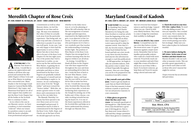$\overline{\mathbf{A}}$ **S THE FINAL HALF** of the Masonic Year draws to a close, I would like to express my appreciation and thanks to all those who supported and assisted the Meredith Chapter of Rose Croix and me as Wise Master in making this a successful year. Many thanks to the Sovereign Grand Inspector General Marlin Mills, Illustrious E. Ray Leppo, and Illustrious Fred Spicer for all of their support that enables not just the Rose Croix Chapter but all the bodies at the Scottish Rite to continue to labor.

**DEIKE TO START** this messa<br>by thanking Dave Sandy,<br>Fred Spicer, and Charles **'D LIKE TO START** this message by thanking Dave Sandy, Matulewicz for being the only three brothers to read my article from the beginning of the year. After receiving such an abundant outpouring of support, I took it upon myself to skip the summer article. Now that it's fall, my favorite season, I figured I'd get back behind the keyboard and belt out a few words to my three favorite brothers (and anyone else adventurous enough to read this publication).

As too often is the case in our Masonic careers, we have a tendency to feel somewhat "relieved" when our tenure in a position comes to an end. With the hectic schedules from professional and personal jeans. I want to get my hands on a pair that are lined with flannel. Some of the best masonry is done without a tuxedo or sportscoat. Get out and practice masonry in your community.

As fall approaches, we begin to take our activities indoors. Holiday parties come to mind. Tons of them! Especially throughout masonry. Here are a few things you can do to be prepared for the transition from fall to winter:

### 1. Buy yourself a new pair of blue

### 2. White gloves are great for ritual. But they aren't very

warm. Get yourself a good pair of driving gloves. I like leather ones. Every man should have a good pair of driving gloves. Best to buy them now versus when it's cold and they charge a premium. Allow these gloves to remind you



# Meredith Chapter of Rose Croix

**blower.** I overpaid last year for one a few days before a storm. The storm never came. It's great insurance against a major snowstorm. Remember that we have families and possibly widows who could use a hand with snow removal. Proactively reach out to your members and ask if they might like a team of brothers to check in to see if they'd like a hand. If you know someone, go help them out! Even if it means using a shovel and some salt!





**BY: HON. ROBERT W. REYNOLDS, 32°, KCCH – IONIC LODGE #145 – WISE MASTER**



# Maryland Council of Kadosh

### **BY: HON. CORY S. WRIGHT, 32°, KCCH – MT. MORIAH LODGE #116 – COMMANDER**

commitments as well as other Masonic duties, we feel the demand on our time and energy. We may even minimize the value of what we actually took away from the particular experience. That being said, we must stop and take a moment of reflection to ponder if our time was well spent. In my case, I am not only happy to have had the opportunity to serve as Wise Master but also to have been able to be part of the Rose Croix Chapter for the last eight years. One of the points that I feel is important to realize, as one moves up the line and becomes Wise Master, is gaining the inner understanding that those

principles and ideas so often mentioned in the Rose Croix Degrees are gradually realized as being part of oneself and not just something to aspire to. In essence, we are continuing to move away from the "Rough Ashlar" and more toward the "Perfect Ashlar". With this, we attain a greater sense of confidence and contentment in the way we live our daily lives.

The Maundy Thursday Ceremony has been special to me over these years as it is very meaningful and personal. It summarizes much of what is communicated in the Degrees of the Rose Croix. Faith, Hope, and Charity are at the base of how we should approach our lives,

tation to and from lodge. Carpool your elderly brethren. They want to come to lodge but sometimes

that not everyone has transporwhen you can. Check in with their mobility is challenged.

### 3. If you can afford it, buy a snow

whether in the daily execution of, or in the planning of where life will someday take us. The encouragement of earnest thought and introspection, expressed in the Eighteenth Degree, is an objective of the Ceremony. It allows each member who participates in it to have a very symbolic part that teaches the understanding of attaining further light. The position of Wise Master of the Rose Croix Chapter has encouraged me to continue learning what the five degrees within it are all about.

In closing, I would like to thank all those in the Chapter Line who have supported me throughout the year and done an outstanding job in their duties. I wish the best of luck to the new Wise Master, Lister Haughton-James, and hope that his year will be as successful for him as mine has been for me. I would also encourage other Scottish Rite Masons who have not been able, to look into furthering their experience at the Temple by joining one of the bodies and, if they choose, consider working towards becoming the head of it. It is one of the finest experiences offered at the Scottish Rite and helps us to better understand the journey through our Masonic lives.

4. Check the tread on your tires: If it's low, replace them. No need to be slip sliding around. Yes, tires are expensive. But a totaled car is worse. Not to mention the worst-case scenario here. Remember that a lodge meeting is never worth putting your members in danger. Make sure you have a plan in place for inclement weather.

### 5. We move indoors during the fall/winter. Invite some of your brothers and their friends over. Masons shouldn't only see each other at masonic events. This can

provide a great opportunity to get to know each other as well as those who aren't masons but might be curious.

I hope everyone has an awesome fall and winter.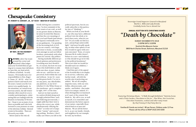

**MY WAY, OR THE HIGHWAY? REALLY?**

B **ROTHERS,** Labor Day is just around the corner and Maryland's blue lodges (and your Scottish Rite) are getting set to resume their fall labors as I pen this, my final article as Master of Kadosh. In early January, I'll formally turn over responsibilities to Hon. Roger D. Dunn, 32°, KCCH - who I've gotten to know and watch over the years; I assure you the Consistory is in capable hands. In the meantime, as I noted in my previous article, the fall/winter calendar offers much for you to consider participating in, culminating (but not ending) with the Reunion on Saturday 10 November. I hope to see as many of you there as possible and I also look forward to your presence at some of the informal, holiday-themed events in December. These are all worth your while.

Before (and at the risk of)

# Chesapeake Consistory

**BY: ROBERT N. CARHART, JR., 32° KCCH – MASTER OF KADOSH**

briefly delving into a sensitive area, I'm first reminded of the basic tenets of our craft, as well as our greater duties as Masons, let alone Scottish Rite Masons and that the core meanings of the Level and Plumb (and always the Square) continually serve as our guideposts. I'm speaking of the increasing lack of civility in our country, writ large, and closer to home, occasionally even amongst us and our fellow brothers, particularly with what

passes for current-day politics. Having markedly different political opinions and preferences is nothing new (nor should it be, of course), but how we treat those who hold beliefs at odds with ours does, in part, define who we are—and how we are perceived, both within the craft and without. In my 50+ years on this green Earth, I've yet to see any party, any officeholder, any platform, at any level whether it's the White House or

the statehouse—get it complete-

ly right, 100% of the time. And yet we find ourselves in a nation divided along such strongly polarized lines, each side believing (erroneously, I might add) that their view is always the correct one, while simultaneously vilifying the "other" as some sort of unpatriotic "enemy" and conceding nothing. Brothers, I don't really care where you fall on the

political spectrum, but do you really subscribe to this particular way of "thinking"?

When you look at your Brother, one who may have a different political view (in whole or in part) than yours, what do you see? Do you really see him in a new, and perhaps unfavorable light? And more broadly speaking, in what other sphere of our lives would we agree with zerosum outcomes? None, of course (because life & reality doesn't behave in a zero-sum fashion), so why should we go in for this in the political (non)sense? This is not what we would (or should) teach our children, I think you'd agree.

I find that part of the appeal of the Scottish Rite is its emphasis on service, reflection, and further study—all with the worthy aim of perfecting our ashlars. We are all complex, imperfect men, with our own foibles, idiosyncrasies, and quirks—and beliefs—that make each of us unique; indeed, it's what distinguishes us inasmuch as it's part of the cement that binds us. My call to you, as well as myself, is to remember and demonstrate the better aspects of our nature, especially those which bind us as men and Masons. We are all the better for it, as are our family, friends, and neighbors by our example. Be well, my brothers.

*Featuring Christmas Music, "A Walk through Bethlehem" Nativity Scene and a Train Garden, Chocolates to Die for… Plus Wine, Hot Cocoa bar, Chocolate Fountains, cookies and other tasty treats By Chef Tommy & Chef Patty Morris*

Families & Friends are invited | \$5 per Person, Children under 12 Free Please call the office to RSVP (410) 243-3200

*Sovereign Grand Inspector General in Maryland Marlin L. Mills and Lady Brenda Cordially Invite You to Attend Our*

# **ANNUAL SCOTTISH RITE CHRISTMAS SOIRÉE** *"Death by Chocolate"*

SUNDAY DECEMBER 9TH 2018 2:00PM UNTIL 5:00PM

Scottish Rite Masonic Center



3800 North Charles Street, Baltimore, Maryland 21218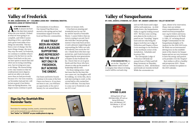### **Sign Up For Scottish Rite Reminder Texts**

Reminders for meetings, lunches, events, ceremonies and degree work can be received on your cell phone via text. **Text "baltsr" to "292929" on your mobile phone to sign up.**





 $\overline{\mathbf{A}}$ **S THE YEAR DRAWS TO A CLOSE,** it amazes me how fast the days have passed. When the year started, I looked at what we were going to accomplish, and while it seems daunting at first, a good plan and a great team make everything run smoothly. This has been a year of change, but the more things change, the more they stay the same. In Frederick, we continue to redefine what it means to be the best we can be. When I look back on the year, we have spent so much time and effort not in trying something new, but in trying new ways to do things. We started doing a two-day reunion so that we could present more degrees, and we are able to do much more than we had previously because of it. Our next reunion, on November 2nd and 3rd, will be just as good, if not better, than our Spring Reunion. Our degree teams continue to push



# Valley of Frederick

**BY: BRO. ADAM RIVERA, 32° – COLUMBIA LODGE #58 – VENERABLE MASTER, FREDERICK LODGE OF PERFECTION #3**

> the boundaries of excellence. Our Annual Trap Shoot was moved to the spring and we had tremendous support from the local and Masonic communities.

Our feasts and festive boards continue to be some of the best I have ever been to. If you have not been to one, you will have an opportunity at the end of January for our annual Burns

Dinner on January 26th.

It has been an amazing and wonderful year for our Valley and for myself as Venerable Master. I cannot believe that my term is coming to an end, but it also feels like I am just getting started. It has truly been an honor and a pleasure supporting and representing the Valley not only in Frederick, but across the Orient. I thank those who have supported me, and I look forward to supporting the next generations of leaders in the Frederick Valley. I know that we are in great hands and that those who have chosen to take up the mantle of leadership will do well.

For those taking notes, I said last issue that by the time this one comes out, my daughter will be walking. As I write this, she is only just starting to crawl, so the crystal ball is a bit cracked but there is still time. You may have to come out to Frederick to ask me if it's true!

**IT HAS TRULY BEEN AN HONOR AND A PLEASURE SUPPORTING AND REPRESENT-ING THE VALLEY NOT ONLY IN FREDERICK, BUT ACROSS THE ORIENT.**

A **S THIS IS BEING WRITTEN,** we are in the "dog days" of summer and it is hard to imagine that when it is being read it will be cool and crisp

# Valley of Susquehanna

**BY: HON. JASON Q. STANDISH, 32°, KCCH – MT. ARARAT LODGE #44 – VALLEY SECRETARY**



and our Fall classes and Lodges will be well underway. As 2018 winds down, the Susquehanna Valley is eagerly looking toward 2019. We have some exciting new plans in the works to expand on our "traveling" degree team and not only bring the degree work but our Lodge of Perfection and Chapter of Rose Croix meetings to our Brethren in the northeast corner of the Jurisdiction. Schedules and locations TBA.

The Chesapeake Lodge of Perfection will hold our annual Feast of Tishri and Fall Ring Ceremony on Thursday, November 15, 2018. All Brethren and friends are warmly invited! While the ceremonies are

open, dinner is by reservation. Please visit our website www.susquehannasr.org or email secretary@susquehannasr.org for tickets and menu.

Congratulations to Sir Wade A. Giles, 32° on being elected Knight Commandant for the Susquehanna Knights of St. Andrew for the 2018/2019 term. Sir Wade was an instrumental driving force in the establishment of the charter for Susquehanna and we are very fortunate to have his energy and passion as he presides over the Chapter!

Best wishes to all for a healthy and prosperous 2019. Please visit our website for updates to the 2019 calendar.

### **2018 SPRING CLASS**

*VM Greg Smith, 32° and SGIG Marlin Mills, 33° with our Spring 2018 class: Bros. John Merbach, 32°, Rich Mainley, Jr., 32° and Greg Payne, 32°*

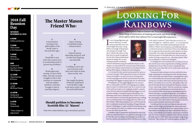"Look, there's a rainbow!!" And in that split second of a moment, it brought me-jerked me, rather- to a central grounding point. Where I saw clouds and thunderheads, she saw rainbows. Where I saw wet suitcases and traffic jams, she saw a weekend of adventure with friends. Where I saw difficulties, she saw opportunities and promise. And, indeed, as we drove eastward for a few miles, the clouds broke and sun brought forth the promise of a beautiful afternoon. It has become yet another teaching moment for me-this dense student. What you see depends on what you're looking for.

I've thought about that weekend drive over the past several days and the axiom that seeing depends on looking, and looking depends on focus. What we expect to find often determines what we see. How often do we see the storm clouds and miss the rainbows?

Freemasonry helps us sharpen our focus and look for those things of importance, of meaning and worth, and those things which add to rather than subtract from a meaningful life's experience. God's handiwork is all around us and evident to the discerning eye, not only in nature but in the lives and times of our fellows, and, indeed, of our very selves. The prolific author and great Freemason, the Reverend Joseph Fort Newton, reminds us that a man is truly a Mason "when he can look into a wayside puddle and see something beyond mud and into the face of the most forlorn fellow mortal and see something beyond sin." With his first steps as an Entered Apprentice, our candidate is instructed to look for the Divine in the ordinary, the majesty in the commonplace and the hand of God in all our undertakings and endeavors. Thus is the benefit of entering upon the Masonic journey and receiving her instruction and counsel.

I would hope that you find your Masonry not only in the degrees and the lodges and meetings but, also, in your everyday encounters and with all whom you come in contact. Just as importantly, I would hope that others will find their Masonry in you-your attitude, your humility, and your grace and kindness. Of course, everyone is entitled to have a bad day and miss the mark once in a while. That's when you need a nudge from a loved one: "Hey, chump, don't miss the rainbow out there." #

# The Master Mason Friend Who:

### Should petition to become a Scottish Rite 32° Mason!

Visit www.mdscottishrite.org to download a petition

### $\neq$  GRAND COMMANDER'S MESSAGE

# **LOOKING FOR** RAINBOWS

Freemasonry helps us sharpen our focus and look for those things of importance, of meaning and worth, and those things which add to rather than subtract from a meaningful life's experience.

T was a bumpy flight that early summer afternoon, crowded and jam-packed like most commercial flights these days. Crying babies, not enough overhead space, and certainly not enough "knee space" added to the misery on that June day as we made our approach into the New Orleans International Airport for landing. Yet, we were looking forward to a wonderful



weekend with friends and good Scottish Rite Masons in Mississippi as we descended to the runway. In spite of the pleasant plans for the weekend, at the moment I was looking forward to getting off the airplane, nothing more and nothing less.

As we landed, the skies opened and rain pelted the tarmac as we taxied to the gate. While expected in Louisiana for this time of year, the thought in my mind was not joy in being back in my old stomping grounds but the more immediate threat that everything in the luggage was going to get wet. As indeed it did.

Wrestling the wet and soggy baggage from the conveyor after an interminable wait led to more griping and complaining on my part, I'm embarrassed to say. As we started our trek to the rental car counter, even my glasses wouldn't cooperate as the blast of Louisiana's humidity left them fogged over and virtually worthless. Leaving the airport and heading to the Mississippi Gulf Coast on Interstate 10 out of New Orleans, I discovered that the rain had not let up, intensifying if anything, and we inched forward in the evening rush hour traffic out of New Orleans. With embarrassment, I now recall that from the time we presented ourselves for boarding at Reagan National Airport in Washington, I could, and did, find something wrong and something about which to complain at every step along the way. Ever had a day like that?

I breathed a sigh of exasperation and inched forward in the traffic jam, determined that no one gained an advantage in traffic. My wife, who was riding in the passenger seat, looked out from the window and exclaimed almost with the joy of a child,

1. Is interested in learning of the philosophies of the World, both of this and other ages.

2. Would like to join with other earnest men in an absorbing study of present day problems;

### 3.

# 2018 Fall Reunion **Day**

Would appreciate turning, for just a little while, from the constant struggles of day to day existence to commune with the noblest intellects of all time, brought to him in matchless degrees.

4. Enjoys viewing worthwhile drama, well presented;

Closing **Ceremonies** 

5. Finds the hearty fellowship and good-will of other men inspiring and enjoyable.

### 6.

Is willing to enter into true fraternity with other men when he finds them worthy; and

### 7.

Has caught the gleam of Masonic inspiration from his Blue Lodge work and is ready to seek the truth still further;

**SATURDAY, NOVEMBER 10, 2018**

**6:45AM** Coffee and Donuts

### **7:15AM**

Class meets in the Classroom

### **7:45AM** Opening

**Ceremonies** 

### **8AM**

Conferral of the 21st, 27th & 30th Degrees

**11:15AM** Class Exercise & Picture

### **11:30AM**

 Lunch \$5.00 per Person

### **12:45PM** Conferral of

the 32nd Degree **2:15PM** 

*\*Times subject to adjustment*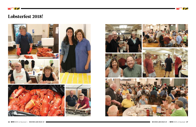

# Lobsterfest 2018!





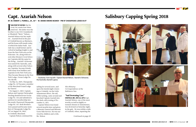

> Clockwise, from top left: Captain Azariah Nelson, Azariah's Schooner, the Australia, Azariah's grave.



# Capt. Azariah Nelson

**BY: W. ROBERT J. PURNELL, JR., 32° – W. GRAND SWORD BEARER – PM OF CHESAPEAKE LODGE #147** 

sailing for several years, and upon the fateful night returning to Crisfield, via the Little Annemessex River, the sail, while tacking, came around and knocked Captain Azariah into the dark cold evening of November 11, 1871.

Captain Nelson was found several months later and given a Masonic Funeral and Masonic Grave Side Service. He was survived by children and a wife, Ms. Nelson

**CAN START BY SAYING** that he<br>is my 1st cousin four times<br>removed. His father was the **CAN START BY SAYING** that he is my 1st cousin four times brother to my GGG Grandmother Elizabeth "Betty" Nelson... Azariah Nelson was her nephew...Azariah lived in the part of Crisfield known as Mariners, and his house still stands today, of which his father built. Azariah was a small farmer and involved in hauling freight to and from the New York area on his Schooner. He, along with several other (Somers Cove) Schooner Captains did the same for the living...Azariah's Schooner was named the Australia, and, along with several other Schooner Captains, become friends with many boat builders and Captains in the New York area. They became Masons in the New York Lodge, Ocean Lodge No. 156 A&AM.

On May 16, 1869, Chesapeake Lodge No. 147 became a member of the Maryland Grand Lodge by Charter.

On August 2, 1869, Captain Nelson and Captain Christopher Sterling demitted from Ocean Lodge No. 156 and submitted a petition for membership into the newly Chartered Chesapeake Lodge No. 147. Both Brothers were passed and became members of Chesapeake Lodge No. 147 on August 30, 1869, in Crisfield, Maryland.

Captain Nelson continued his



*His obituary: Correspondence of the Baltimore Sun*

### "Sad Drowning Case" **CRISFIELD, MD., NOV 16, 1871:**Capt.

Azariah Nelson, one of the most worthy as well as highly esteemed citizens of Annemessex, was drowned on Saturday night, in the gale. He was within a mile of Crisfield, when, inputting the

# Salisbury Capping Spring 2018





*Continued on page 20*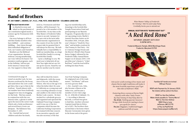# Band of Brothers

**BY: SIR TOMMY J. MORRIS, 32°, P.K.C., PVM, PGTC, WISE MASTER – COLUMBIA LODGE #58**

need us, Freemasons and their

families, will be lessened. I'm proud to be a Life member of the Scottish Rite. As my time as the Wise Master of Frederick Valley comes to an end, I prepare for my new role in the most influential masonic organization in the country if not the world. We cannot take for granted that it will always be that way. We individually have a responsibility to build our membership, as a large Scottish Rite Family is a strong Scottish Rite Family.

**T** is chiseled in stone and **inked on the parchment of** our constitution signed nearly a century ago by Freemasons with a vision.

> I pose a challenge to you. We need your to help kick off our New Year right and set our Orient up for success. Stand by our side for another year by renew-

### **HE SCOTTISH RITE STORY**

Our story belongs to all Scottish Rite Family members who have fulfilled — and continue fulfilling — that vision through their individual obligation to God, our Country and Ourselves. Members are the lifeblood of our organization. Because without a strong membership,

our voice will not be heard. Our premiere youth programs, such as the DeMolay, will not put forth America's future leaders. Our support to those who

ing your membership early, donating to the Scottish Rite Temple Preservation Fund and participating in our Masonic Programs. Programs like two of our upcoming events; Marlin's Annual Chocolate Soirée on 09 December 2018, 2:00 pm, (this year's theme is "Death by Chocolate" and includes creations by Chef Tommy & Chef Patty—Patty's famous Orange Dream and the Morris's World's Best Peanut Butter Fudge), followed by the Frederick Valley Annual Burns Supper on 26 January 2019, 5:00 pm (this year's theme is "A Red Red Rose") and the food will be nothing less than Poetic.

Bro. Azariah had several children and after his death,

vessel on another tack, he was thrown overboard by the boom, and sank before the crew could get him a line or go to him in the rowboat. Vessels almost without number have been fruitlessly engaged ever since in dragging for the body. This has caused, in conjunction with the continuous rains, a gloom to settle upon the men in the oyster trade which only a brisk northwester and several heavy frosts can dissipate. The Baltimore Sun, November 17, 1871 *Continued from page 18*

they still worked the waters and shipyards, with the exception of one son, John Wesley Nelson, who was at the age of 16 when his father died, He came to California as a young man and was a traveling salesman of soap and candles to the miners in the Mother Lode country. He later worked for a wholesale grocery and organized and operated the Oakland Preserving Company until it was one of the five companies which became the California Packing Corporation. He retained with that concern in an executive capacity and was also secretary of the San

Jose Fruit Packing Company. He originated one of the trade names, "Del Monte" still seen on every grocery shelf.

1. Bro. Azariah's son, John, also became a Mason as his father was, and became a member of Live Oak Lodge No. 61. AF&AM of Oakland, CA.

2. According to Masonic Records, a reward was given to find him. Another schooner Captain found him in February of 1872. The brothers then carried him to his home where Masonic Ceremonies were given in the house and at the grave.

Families & Friends are invited \$45 per Person

RSVP with Payment by 14 January 2019, No tickets will be sold at the Door.

RSVP to: Hon Don Vollmer Make check payable to "Tommy Morris" Mail to: Hon Don Vollmer 3802 Cherry Lane Jefferson, MD 21775 or Pay via PayPal link https://www.paypal.me/MorrisTj

*Join us for a full evening of live music and classic Burns night traditions will make it the most Scottish experience you'll get this side of Hadrian's Wall.*

*Featuring three courses of Burns Night classics with other Tasty Treats… By Chef Tommy & Chef Patty Morris The drink: Nothing special, however bring a little Scotch for tasting to leave you spoilt for choice. The fun: Bagpipes, traditional haggis address and bill of toasts*

*Sir Tommy J. Morris and Lady Patty*

*Wise Master Valley of Frederick Cordially Invite you to attend our*

# **ANNUAL SCOTTISH RITE "BURNS NIGHT OUT"** *"A Red Red Rose"*

SATURDAY JANUARY 26TH 2019 5:00PM UNTIL…

Frederick Masonic Temple, 6816 Blentlinger Road, Frederick, Maryland 21702

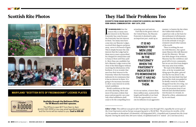# They Had Their Problems Too

### **EXCERPTS FROM GRAND MASTER LIVINGSTON'S ADDRESS, BALTIMORE, MD SEMI-ANNUAL COMMUNICATION – MAY 16TH, 1933**

T IS NOW BELIEVED that the<br>reason why so many men<br>lost interest in the Masonic **T IS NOW BELIEVED** that the reason why so many men Fraternity has come because the Fraternity has lost interest in them. Too many men have come into our Masonic Lodges, received their degrees and gone away, never to be heard of again. This is simply because the only interest that the Lodge had in them was to exact a prescribed fee charged for annual dues and to harp at them until they paid it. More than one candidate has left a Masonic Lodge room at the close of the third degree without receiving the felicitations of his brethren. It is no wonder that men lose their interest in the Fraternity when the Fraternity indicates by its remissness that it has no interest in them. It is going to be necessary hereafter to show some interest in newly raised candidates

World conditions at this time are truly alarming. More and more it becomes evident that peace and prosperity can come only when selfishness shall cease to be the compelling force actuating men and nations. I feel that in the great crisis of the United States, the Masonic Fraternity is destined to play an important part, made up as

it is in our nation, of more than three million men, scattered the length and breadth of our land. It has the opportunity to exercise its influence in an aggressive manner, to hasten the day when the Golden Rule shall be accepted not only as the basis for the settlement of all domestic questions but the deciding factor in the attitude of our government toward other nations of the world.

There is nothing the matter with Masonry, but a great many Masons who talk Masonry do not live Masonry. We may fear little danger from without; Masonry has the confidence and good will of every community, but we are not free from dangers that may arise from within.

We read of the fabled eagle, who, as he lay wounded and dying upon the plain, grieved not that he was about to die, but that the fatal shaft that had pierced his vitals was guided in its deadly course by a feather dropped from his own wing. Let us not have occasion to grieve over the prostrate form of our beloved and cherished institution because of a wound, inflicted by a blow, administered by its own hand.

# Scottish Rite Photos



### **MARYLAND "SCOTTISH RITE OF FREEMASONRY" LICENSE PLATES**



### **Available through the Baltimore Office for SR Masons and their spouses.**

The Office is open M-F from 9am to 4pm @ 410-243-3200 or you may email aasr@verizon.net and the forms will be mailed to you. **Cost is \$30.00**

**IT IS NO WONDER THAT MEN LOSE THEIR INTEREST IN THE FRATERNITY WHEN THE FRATERNITY INDICATES BY ITS REMISSNESS THAT IT HAS NO INTEREST IN THEM.**

*Editor's Note: This address was given after having just come through 1932, arguably the worst year of the Great Depression and as Europe was gearing up for a World War. The previous six months, of the 33,706 members in Maryland: 139 demitted, 478 Suspended NPD, 5 Expelled and 25 passed into the Great Beyond. During the same time 200 were raised, 43 affiliated and 13 re-stated – for a net loss of 641.)*

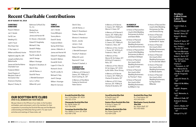### **CHARITABLE DONATIONS**

Royce A. Watson Jan C. Varada Carl W. Lee Wedding 411 Leah K. Faust Rite Cheer Club E. Ray Leppo, Jr. William and Beverly Hunter Highland Lodge No. 184 Joseph and Betty Ann Walterhoefer Jesse and Hertha Adams Charitable Trust Frederick KSALA Grand Chapter of

Maryland, Order of the Eastern Star

America's Charities

Wayne C. Penley, Sr.

Baltimore Coffee & Tea

Wockenfuss Candy Co., Inc.

James and Harriet Hill Dr. Steven J. Abramedis

Edward R. Daughaday

Co., Inc.

Michael G. Faby Gerald R. Phillips Richard A. Strich Paul W. Lendle, Sr. Jack R. George William I. Kissinger Benjamin O. Brookhart, III Glen B. Clary John M. Raines, Jr. David W. Pierce J. Wendell Davenport Larry J. Loftice William M. Lynch

### **TEMPLE DONATIONS**

Jan C. Varada Corey Millington Tommy Morris David R. Sandy Frederick KSALA Spring 2018 Class James J. Malcolm, Jr. James and Harriet Hill Edward R. Daughaday Donald D. Walters Donald M. Smith Logan E.H. Starr, Sr. Richard A. Strich Paul W. Lendle, Sr. Michael G. Faby Jack R. George William I. Kissinger Albert B. Carrozza

Glen B. Clary John M. Raines, Jr. Robert E. Rosenbaum Charles J. Moore, III Winston O. Henderson David L. Jacobs James L. Cook Robert D'Antonio J. Wendell Davenport Timothy P. Anderson William M. Lynch Raymond F. Cook Charles R. Dashiell, Jr.

### **IN MEMORY OF CONTRIBUTIONS**

In Memory of Ill. Bennie G. Owens, 33°, PGM by Ill. T. Scott Cushing, Sr., 33°

In Memory of Elsa Marie Caskey by Harold and Helen Saxton

In Memory of Ill. Bennie G. Owens, 33°, PGM by Ill. Warren H. Green, 33°

### **Brothers** Called From Labor To Eternal Rest

In Memory of Ill. Bennie G. Owens, 33°, PGM by Morris and Sharon Bohlayer

In Memory of Ill. Bennie G. Owens, 33°, PGM by Ill. Frederick J. Reitz, 33°

In Memory of Hon. Gordon J. Turner, 32°, KCCH by Ill. Frederick J. Reitz, 33°

In Memory of Hon. Warren W. De Coligny, 32°, KCCH by Ill. Frederick J. Reitz, 33°

In Memory of Hon. Warren W. De Coligny, 32°, KCCH by Mr. & Mrs. Oliver Strong

In Memory of Ill. Bennie G. Owens, 33°, PGM by Ill. Charles B. Burdette, 33°

We pay tribute to the Officers of our clubs, to the founders and leaders, past and present, and to the members for their cooperation in promoting the Scottish Rite way and the Masonic understanding and fellowship that go with it. For year round activities and meetings of these clubs, call:

In Memory of Ill. B. Hope Harrison, 33°, PGM by Ill. Charles B. Burdette, 33°

### **IN HONOR OF CONTRIBUTIONS**

- In Honor of Paul and Ann Lloyd's 63rd Wedding Anniversary by Arthur and Elaine Moler
- In Honor of Paul and Ann Lloyd's 63rd Wedding Anniversary by Harold and Doris Utz
- In Honor of Paul and Ann Lloyd's 63rd Wedding Anniversary by Morris and Sharon Bohlayer

In Honor of Paul and Ann Lloyd's 63rd Wedding Anniversary by Janet H. Kraft

In Honor of Paul and Ann Lloyd's 63rd Wedding Anniversary by Thomas F. Hess

In Honor of Paul and Ann Lloyd's 63rd Wedding Anniversary by William E. Gyr

- In Honor of Paul and Ann Lloyd's 63rd Wedding Anniversary by Ollie and Christa Strong
- In Honor of Paul and Ann Lloyd's 63rd Wedding Anniversary by Kenneth R. Tayloe
- In Honor of Paul and Ann Lloyd's 63rd Wedding Anniversary by Elise Armacost
- In Honor of Paul and Ann Lloyd's 63rd Wedding Anniversary by Tim and Deb Talbert
- In Honor of Paul and Ann Lloyd's 63rd Wedding Anniversary by Wanda Sparks
- In Honor of Paul and Ann Lloyd's 63rd Wedding Anniversary by Peg and Dan Millender



# Recent Charitable Contributions

### **AS OF AUGUST 30, 2018**

Frank H. Clark, Jr., 32° George V. Brown, 32° Harold F. Davis, 32° Robert L. Murphy, 32° Charles R. Taylor, 32° Alvin P. Parks, Jr., 32° Hon. Gordon J. Turner, 32°, KCCH Hon. Irvin Montrose Harvey, 32°, KCCH Robert L. Burris, 32° Hon. Richard T. Kreh, Sr., 32°, KCCH Charles O. Thompson, Jr., 32° Hon. Warren W. De Coligny, 32°, KCCH John W. Fitzgerald, 32° James W. Street, Sr., 32° Gilbert W. Mc Millan, 32° Donald L. Burgess, 32° Carl F. Meinecke, Jr., 32° William A. Chalk, 32° Andrew A. Hevesy, 32° Calvin L. Blades, 32° Terrence N. Daniel, 32° George G. Fry, 32°

### **OUR SCOTTISH RITE CLUBS OPEN TO ALL MEMBERS AND THEIR FAMILIES**

**Arundel Scottish Rite Club**  Hon. S. Dirk Wiker, 32°, KCCH 443-321-2724

**Chesapeake Scottish Rite Club**  Bro. Neil M. Noble, 32° 410-736-9245

**Conowingo Scottish Rite Club**  Hon. William D. Gunn, 32°, KCCH 410-939-1798

**Carroll Scottish Rite Club**  III. Paul M. Lloyd, 33° 410-374-2569

**Eastern Shore Scottish Rite Club** Ill. Arthur H. Tawes, 33° 443-235-8950

**Mid Shore Scottish Rite Club**  Bro. Robert Sparks, 33° 410-634-2235

### **Scottish Rite Cheer Club**  Ill. J. Fred Hobine, 33° 410-243-3200

**Washington County Scottish Rite Club**  Bro. Robert Reiff, 32° 301-302-6550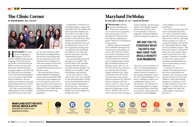H **APPY HOLIDAYS** from the speech-language pathologists at the Scottish Rite Childhood Speech and Language Center! We are having another wonderful Fall and Winter season at the Scottish Rite Clinic. We have had some exciting changes in our clinic this fall. This year we are fortunate to have Sara Frederick helping to cover our contract with Friends School of Baltimore. She saw students at Friends two years ago and is excited to be back. We are thrilled to have Sara on board!

We'd like to wish Sarah Spicer congratulations on her wedding and wish her best of luck with



# The Clinic Corner

**BY: MIRIAM MANDEL, M.S., CCC-SLP**



her new life in South Carolina! We will miss working with her, but we know she belongs with her new husband, Sean Jacobs. Sarah has been working at our clinic since summer of 2015 and we are so grateful for all the wonderful work she has done for the past 3 years.

We would also like to thank Miriam Mandel for helping the clients of the Scottish Rite Childhood Speech and Language Center for the past five years, starting as an intern in the summer of 2013. Miriam is now working for Baltimore County Public Schools and with the preschool-age population.

In September, we held our annual Basket Bingo to support the Charitable Fund. The families and staff enjoyed the activities and food, and we were able to raise money to help support the important work we do in the clinic. Thank you to all the individuals who attended this event and contributed to its success! We are so grateful for all the generous donations that will benefit the children of our clinic and directly assist them with their communication needs.

Our annual holiday party will take place in December. This event is always well-attended and enjoyed by the clients of our clinic and their families. The children love the raffles, crafts, refreshments, and activities.

As the year comes to a close and we enter 2019, we would like to take this opportunity to thank each of the Scottish Rite Masons for your support and generosity this past year. We wish you and your families an enjoyable holiday season and a happy and healthy new year!

# Maryland DeMolay

**BY: DAD CARL A. MICHEL JR., 32° – EXECUTIVE OFFICER** 

F **OR 100 YEARS,** DeMolay has been building men of character and tomorrow's leaders from young men between the ages of 12 to 21, through time-honored traditions and ever adapting programs! Thank you for being part of that journey.

**Maryland Orient** Facebook Group

**Supreme Council Twitter** 

**Council** Instagram

**Maryland** Orient Android

**Mobile** Web App

DeMolay began its Centennial Year celebration during the Annual Sessions in Alexandria, VA on June 23rd. This year will be chock full of Centennial events throughout the world. Several events Jurisdictions will take part in simultaneously, including a worldwide Initiation on Monday, April 1, 2019, at 7:45 PM. This was the day of the first recorded meeting of Mother Chapter in Kansas City. These Centennial events will culminate next June at the Annual Sessions in Kansas City, Missouri where it all began with Dad Frank S. Land, 33° and a young man named Louis Lower ending with a Pilgrimage to Paris, France. All those who travel to France will trace the footsteps of Jacques DeMolay, the last Grand Master of the Knights Templar and the martyred hero who is our namesake. As the year progresses, Maryland DeMolay

will be inviting all our Masonic

Advocates, you our sponsors, to join us in celebrating this year. Maryland DeMolay held its Annual Conclave in August on the campus of Salisbury University. Bro. Rafael Rodriguez, IV of Bowie-Collington Chapter was installed State Master Councilor and Bro. Alex Blenman of George Fleming Moore Chapter was installed Deputy State Master Councilor. This annual event continues to be the highlight

of the DeMolay year for all the participants.

One of our next big events will be our Centennial Grand Master's Class to be held in Cumberland. We will be honoring Grand Master Vourvoulas by conferring both our degrees on a class of young new initiates. We will also be reopening the Warren Seipp Honorary DeMolay Chapter. This Honorary Chapter was begun for those who never had the opportunity to join when they were younger. Petitions are available for those who wish to join by emailing cmicheljrfamily@aol. com or downloading off www. mddemolay.org.

In closing, we ask you to consider what talents you may have that would benefit our members. We are always accepting new Advisors to work with Chapters, assist with training programs, IT initiatives, mentorships and ideas we have not thought of. Consider what you might bring to the table that could change a young man's life forever.

**MARYLAND SCOTTISH RITE SOCIAL MEDIA & APPS WWW.MDSCOTTISHRITE.ORG/**

**MEMBERSHIP/SOCIAL/**



Youtube Channel





App

App (Currently not working)

# **WE ASK YOU TO CONSIDER WHAT TALENTS YOU MAY HAVE THAT WOULD BENEFIT OUR MEMBERS.**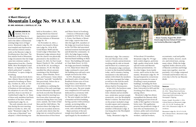

M **OUNTAIN LODGE NO. 99,** Ancient, Free & Accepted Masons, is located in Frostburg, Maryland, and is the oldest continuously existing lodge west of Hagerstown. Mountain Lodge No. 99 was founded and chartered in 1854 and has existed continuously as the Masonic Lodge in Frostburg since that time. The first minute book of Mountain Lodge documents that the lodge came into existence under a dispensation from Bro. Charles Webb, Most Worshipful Grand Master, on September 22, 1854, which authorized "a number of brethren" to open a lodge in Frostburg.

The same minute book shows that a Master Mason Lodge was opened in Frostburg on Thursday, October 26, 1854, at 7:00 p.m. The first and only order of business at this meeting was the adoption of a set of by-laws, and they chose to use those of Cumberland Lodge No. 61. Many of these early members had been members of the then-defunct Cumberland Lodge No. 61.

The early minutes also reveal that during the next meeting, held on October 31, 1854, the name "Mountain Lodge No. 99 of the state of Maryland" was adopted. A third meeting was

held on November 4, 1854, during which four Entered Apprentices were initiated the first initiates of Mountain Lodge No. 99.

On November 22, 1854, a charter was issued to Mountain Lodge No. 99 by M.W. Grand Master Webb and the Grand Lodge of Maryland. The Mountain Lodge minutes show that the charter was physically presented to the members on January 23, 1855, by Past Grand Master Charles H. Ohr, on behalf of the M.W.G.M. According to the minutes, P.G.M. Ohr duly installed the officers present, consisting of the Worshipful Master, Junior Warden, Secretary, and Treasurer. Some others had been "partially" installed by him previously, before the arrival of the charter.

In addition to outlining the activities of the early meetings, the first Mountain Lodge minute book records that Mountain Lodge rented its meeting location from other fraternal organizations during these very early years, namely, the Order of Red Men and the Odd Fellows. The location where the lodge first met is not recorded; however, an early entry shows that the lodge met at a rented location at the intersection of First Street

and Water Street in Frostburg.

A history of Mountain Lodge compiled in 1954 by Bro. Joseph L. Evans, Past Master of Mountain Lodge, reports that from 1861 through 1878, members of the lodge met in private homes, as the Civil War and associated national tensions had disrupted and divided the community. In 1878, the lodge began renting the third floor of the Frostburg National Bank building on Main Street. This building still stands at 1 East Main Street. In 1923, the lodge purchased a building at 74 E. Main Street where the lodge continued to meet until the building was sold and a new temple erected in the 1970s.

In 1975, Mountain Lodge purchased a plot of land in the Braddock Estates area of Frostburg where a new Masonic temple was constructed over the next four years. The new temple was completed in 1979 and was dedicated in a ceremony with the Grand Lodge on October 13. The new temple was built as a beautiful red brick building, having a portico with archways outside, an inviting lobby, a beautiful and spacious lodge room, and a sizeable dining hall.

Major portions of the new temple were built and developed largely by the members of Mountain Lodge. The construction saw Masons from a wide variety of trades and professions working side by side as friends and brothers in a common pursuit. Mountain Lodge continues to meet in this beautiful building today, and it remains a lasting monument to the skill and assiduity with which the members at the time managed the lodge, as well as to the zeal the members of Mountain Lodge have always had for Freemasonry.

In late 2013, the brethren came together and installed large ionic columns and an entablature, styled after ancient temple stonework, over the Worshipful Master's station. The final touch on the project included a large wooden square and compasses, which was handcrafted by a member of Mountain Lodge. It was hung above the Worshipful Master's chair.

Today, Mountain Lodge No.

99 has about 170 members. Mountain Lodge No. 99 regularly confers degrees, performs high-quality ritual work, holds special events and Masonic education presentations, visits other lodges, hosts family events, and is active in the community. Mountain Lodge No. 99 has participated in cornerstone laying ceremonies for some of Frostburg's most prominent buildings, including the State Teachers College (now Frostburg State University) in 1899 and the Frostburg Post Office in 1913, among others.

Mountain Lodge has always walks of life together to become practice has produced a lodge of men who are businessmen, attorneys, police and correctional

exemplified the Masonic ideal of bringing good men from all better men. This egalitarian officers, emergency services workers, railroad workers,

accountants, road and public utility workers, doctors, teachers, and retired men, among many others. While the lodge regularly holds a diverse array of Masonic activities and brings many men together, most importantly, it is a lodge composed of friends and brothers who try every day to live by our Masonic ideals.

### *Sources*

*The Cumberland News, November 20, 1954, "Many Historical Items Presented Frostburg Lodge: Masons Observing 100th Anniversary," Newspaper Clipping.* 

*Evans, Joseph, November 1, 1954, A Brief History of Mountain Lodge #99, A.F. & A.M. Frostburg, Md. 1854-1954, Mountain Lodge No. 99 Archives.* 

*Mountain Lodge No. 99 A.F. & A.M., 1854, Minute Book 1, Mountain Lodge No. 99 Archives*

# *A Short History of* Mountain Lodge No. 99 A.F. & A.M.

**BY: BRO. NICHOLAS J. COSTELLO, 32°, P.M.** 

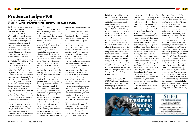### **A BIT OF HISTORY ON OUR NEW PROPERTY**

Sometime in the 1960's, the Warren Chapel church became a part of the United Methodist denomination, although it closed its doors as a United Methodist congregation in June 2007. In October 2007, a new organization named Warren Community Church-Love Chapel, was formed with Reverend Ernest Thomas at the helm as the founding pastor. Renovating The Building (Our Vision Of King Solomon's Temple) under the direction and supervision of PM Burner (a Builder), and assisted by Bro. Daniel Clearwater, both carpenters by trade, renovation of our new building began in earnest soon after settlement. When the members first started demolition, many asked how much did we intend on removing. PM Burner just said, "Keep going and I'll let you know when to stop". Between the mold and the old, dangerous electrical wiring, and a total lack of insulation, the building needed to be completely opened up. So, by summer's end, most interior walls were removed, and all the exterior wall framing was now exposed. Also, after an inspection, the floor joists were found to be inadequate so that would require additional time and money to

correct. But by October, build-

ing permits were obtained and the build-out began in earnest. Bro. Dave Webber, a professional engineer, provided the necessary design and stamped drawings for the structural issues.

One interesting feature of the new temple is the painted tin ceiling directly above the altar. Our old lodge room also had a painted tin ceiling and carrying the same theme over to our new building was meant to pay tribute to our former lodge home. After many discussions about the new ceiling design, the members who worked on the renovation on a regular basis finalized the current design. Tin ceiling panels and crown molding were picked and the pastel colors of the old ceiling were duplicated. Untold hours were spent by brethren hand painting the design on the tin panels.

New stairs and a handrail design were also decided and much thought went into choosing the carpeting and designing the tile work. The center floor tile pattern was actually finalized as it was installed. Except for the electrical, ductwork, drywall, handrails and heavy carpentry, all the demo, carpentry, painting, and flooring work was carried out by the operative members of the lodge. The architecture, design, and all finishes were also chosen by the members.

Renovation costs are currently borne by members of the lodge. Donations by the membership toward that cost have unfortunately fallen short of expectations, simply because we believe many members who do not regularly attend meetings do not read their trestle board and therefore aren't fully aware of the situation. We hope, however, that this matter will be rectified in the future.

In a preceding paragraph, you might have noticed that the word "builder" was capitalized when included in the description of Brother and Past Master Ron Burner. Brother Ron is a builder in the truest masonic tradition. Over the forty plus years of his construction career, he has renovated several old and historic structures.

Ron sees renovating old structures as more of a calling than a job. He approaches a project like ours not with budgets and drawings and the latest version of the niftiest project management software on the market, but more so like a steward or historian. Jokingly, some of us refer to him as the "Temple Whisperer" because he insists that he didn't design the new temple; that he had no grand plan or vision but rather let the

building speak to him and then just followed its instructions.

The lodge room design turned out to be minimalist and strikingly very different.

Interestingly we never drew up exact plans to work from, the actual execution of what to do next simply evolved from the rooms as we went along. The walls are mostly bare and this has caused some to question the lack of wall decorations. However, we believe the room's plain design allows us to better showcase the beautiful original lodge room furniture we are so fortunate to have. The beauty of these items was never really noticed or appreciated before, simply because our old lodge room was filled with too much "stuff". And the room architecture, even without any furnishings, is strikingly beautiful and a true gem. But now let's get back to our progress...

### **THE PROJECT IS A SUCCESS!**

JRPM Jim Stargel served as our lodge's liaison between all the building inspectors and contractors during the 11-month



# Prudence Lodge #190

### **807 EAST RIDGEVILLE BLVD., MT. AIRY, MD. 2177 WORSHIPFUL MASTER – BRO. ALFRED T. LETLE – SECRETARY – BRO. JAMES C. STARGEL**

renovation. On April 6, 2015, he had the honor of traveling to the county seat at Westminster to pick up our newly issued occupancy permit and on April 7th, even though the lodge building was not quite finished, WM Kevin Drabczyk banged the gravel to open our first lodge communication in our very own temple building. We then spent every day until the dedication, which was scheduled for Saturday, May 9th, trying to get the building ready. The laying of sod was completed only the day before the dedication was held and we prayed it wouldn't rain. On dedication day, fifty-four masons marched down the street and assembled in front of the building along with other guests. Speakers at the ceremony included GM Kenneth Wyvill, WM Drabczyk, PM Burner, Town Councilman Ken Phebus, and Carroll County Commissioner Richard Rothschild. Finally, the ribbon was cut, and everyone retired to our very own social hall for food and drinks. The fact that we have a social

hall is very significant to the





brethren at Prudence Lodge. Previously we had no such hall and any dinners or social activities had to be conducted in our former lodge meeting room or at an off-site location. But now with our new building, we were enjoying the fruits of our labors as we and our honored guests made use of the social hall that came with the new building.

During the entire process of acquiring and renovating the property, it was evident that the Great Architect of the Universe had blessed Prudence Lodge by bringing together a group of men who could perform much of the needed work themselves, gratis, rather than the lodge having to pay for the services of a general contractor and for other services needed to complete the project. Many of the members brought skill, enthusiasm, and dedication to the job. And as masonic tradition would expect of master masons, those with the greatest skill and vision taught those with limited or no operative building experience so that they too could pitch in and help make our new lodge home an affordable reality.

### *Continued from previous issue*